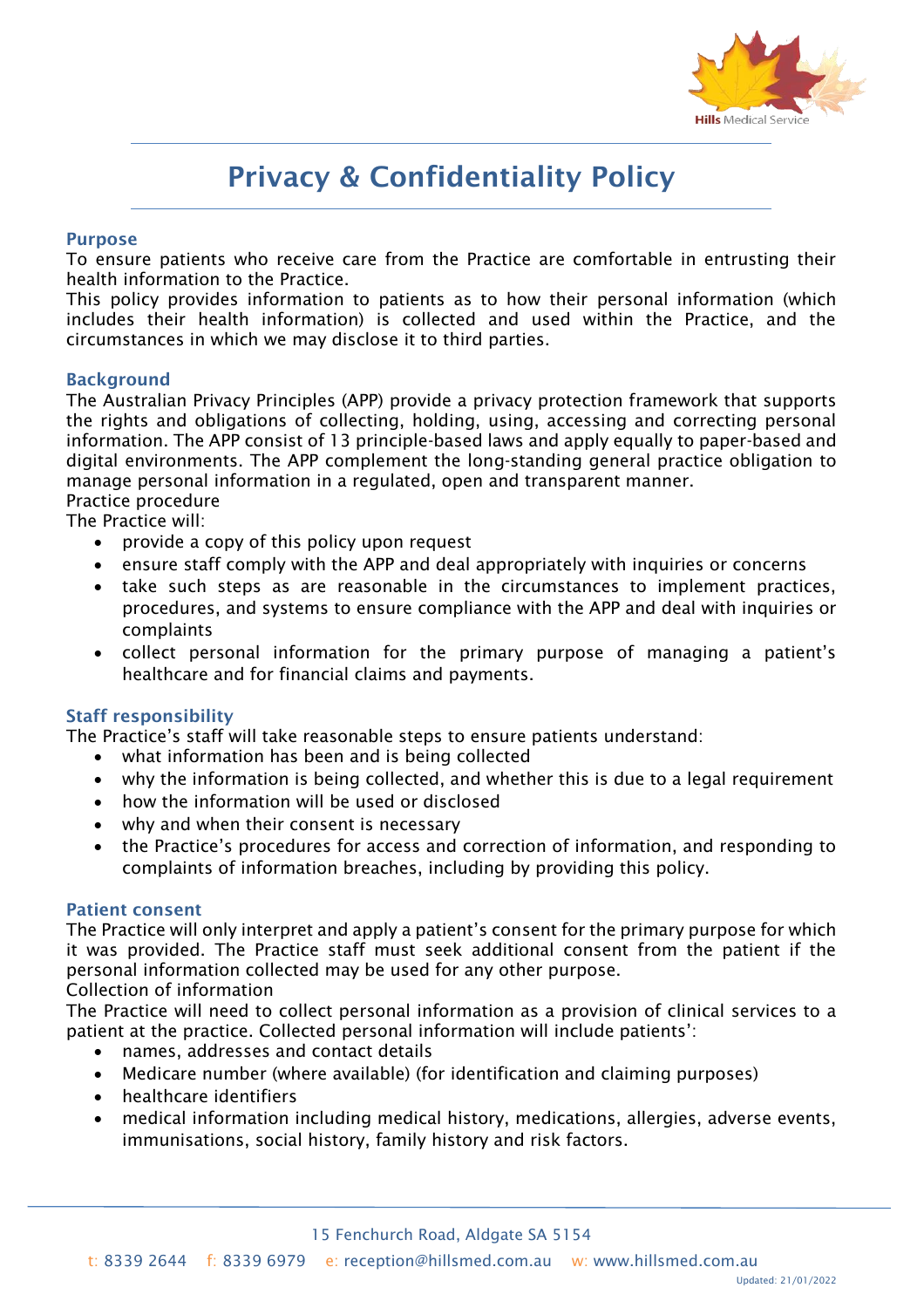

# Privacy & Confidentiality Policy

#### Purpose

To ensure patients who receive care from the Practice are comfortable in entrusting their health information to the Practice.

This policy provides information to patients as to how their personal information (which includes their health information) is collected and used within the Practice, and the circumstances in which we may disclose it to third parties.

#### Background

The Australian Privacy Principles (APP) provide a privacy protection framework that supports the rights and obligations of collecting, holding, using, accessing and correcting personal information. The APP consist of 13 principle-based laws and apply equally to paper-based and digital environments. The APP complement the long-standing general practice obligation to manage personal information in a regulated, open and transparent manner. Practice procedure

The Practice will:

- provide a copy of this policy upon request
- ensure staff comply with the APP and deal appropriately with inquiries or concerns
- take such steps as are reasonable in the circumstances to implement practices, procedures, and systems to ensure compliance with the APP and deal with inquiries or complaints
- collect personal information for the primary purpose of managing a patient's healthcare and for financial claims and payments.

#### Staff responsibility

The Practice's staff will take reasonable steps to ensure patients understand:

- what information has been and is being collected
- why the information is being collected, and whether this is due to a legal requirement
- how the information will be used or disclosed
- why and when their consent is necessary
- the Practice's procedures for access and correction of information, and responding to complaints of information breaches, including by providing this policy.

#### Patient consent

The Practice will only interpret and apply a patient's consent for the primary purpose for which it was provided. The Practice staff must seek additional consent from the patient if the personal information collected may be used for any other purpose.

#### Collection of information

The Practice will need to collect personal information as a provision of clinical services to a patient at the practice. Collected personal information will include patients':

- names, addresses and contact details
- Medicare number (where available) (for identification and claiming purposes)
- healthcare identifiers
- medical information including medical history, medications, allergies, adverse events, immunisations, social history, family history and risk factors.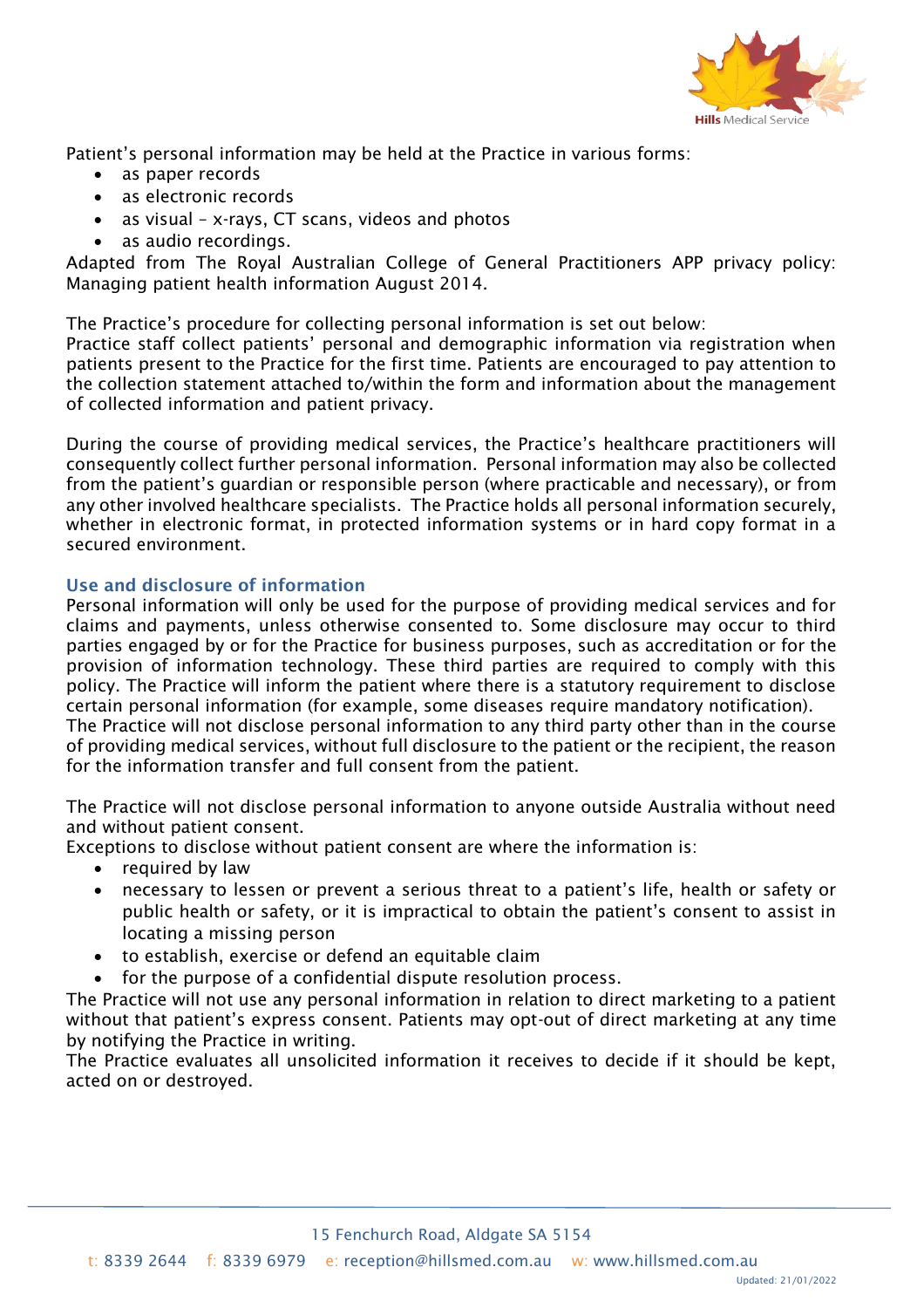

Patient's personal information may be held at the Practice in various forms:

- as paper records
- as electronic records
- as visual x-rays, CT scans, videos and photos
- as audio recordings.

Adapted from The Royal Australian College of General Practitioners APP privacy policy: Managing patient health information August 2014.

The Practice's procedure for collecting personal information is set out below:

Practice staff collect patients' personal and demographic information via registration when patients present to the Practice for the first time. Patients are encouraged to pay attention to the collection statement attached to/within the form and information about the management of collected information and patient privacy.

During the course of providing medical services, the Practice's healthcare practitioners will consequently collect further personal information. Personal information may also be collected from the patient's guardian or responsible person (where practicable and necessary), or from any other involved healthcare specialists. The Practice holds all personal information securely, whether in electronic format, in protected information systems or in hard copy format in a secured environment.

# Use and disclosure of information

Personal information will only be used for the purpose of providing medical services and for claims and payments, unless otherwise consented to. Some disclosure may occur to third parties engaged by or for the Practice for business purposes, such as accreditation or for the provision of information technology. These third parties are required to comply with this policy. The Practice will inform the patient where there is a statutory requirement to disclose certain personal information (for example, some diseases require mandatory notification). The Practice will not disclose personal information to any third party other than in the course of providing medical services, without full disclosure to the patient or the recipient, the reason for the information transfer and full consent from the patient.

The Practice will not disclose personal information to anyone outside Australia without need and without patient consent.

Exceptions to disclose without patient consent are where the information is:

- required by law
- necessary to lessen or prevent a serious threat to a patient's life, health or safety or public health or safety, or it is impractical to obtain the patient's consent to assist in locating a missing person
- to establish, exercise or defend an equitable claim
- for the purpose of a confidential dispute resolution process.

The Practice will not use any personal information in relation to direct marketing to a patient without that patient's express consent. Patients may opt-out of direct marketing at any time by notifying the Practice in writing.

The Practice evaluates all unsolicited information it receives to decide if it should be kept, acted on or destroyed.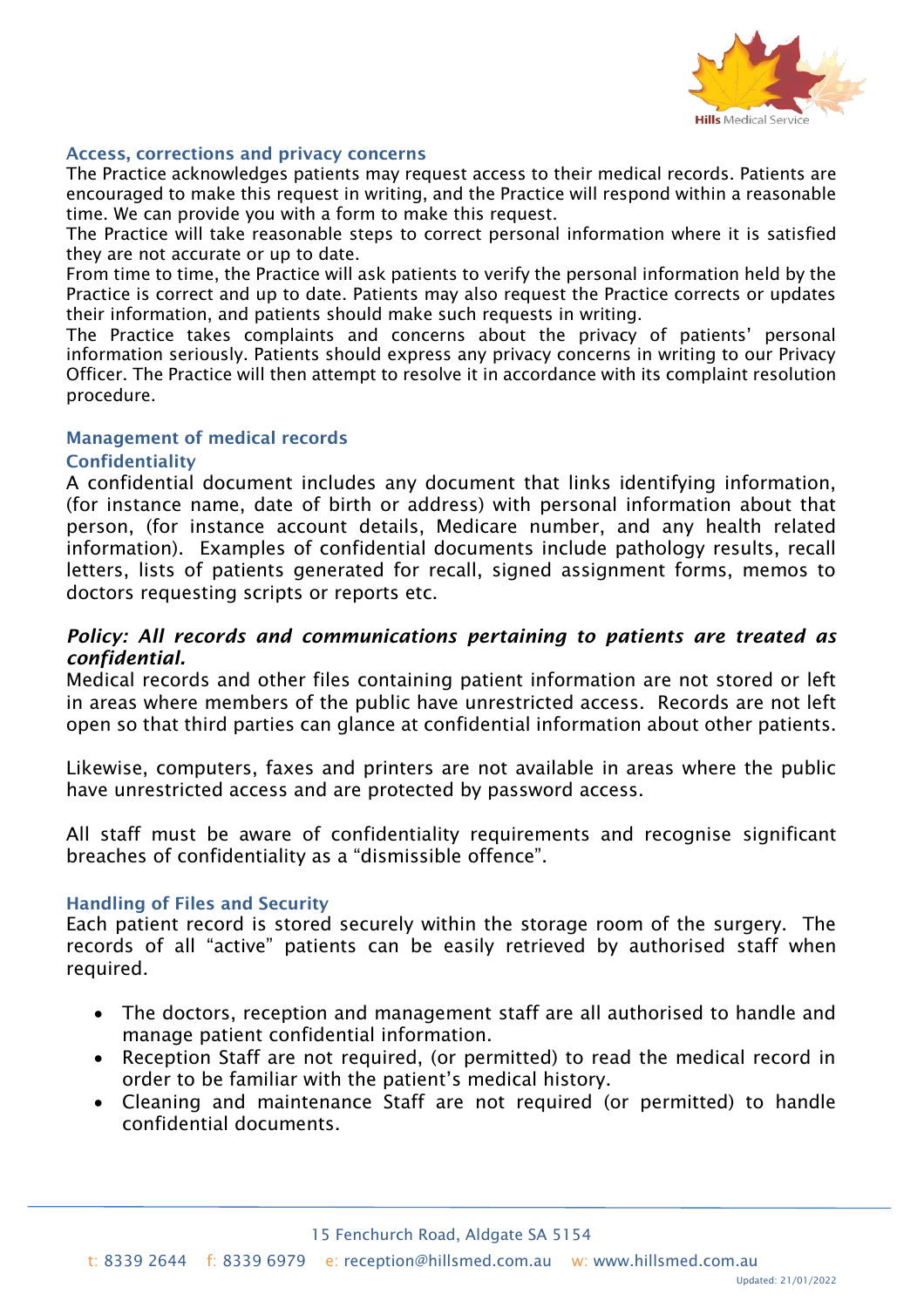

#### Access, corrections and privacy concerns

The Practice acknowledges patients may request access to their medical records. Patients are encouraged to make this request in writing, and the Practice will respond within a reasonable time. We can provide you with a form to make this request.

The Practice will take reasonable steps to correct personal information where it is satisfied they are not accurate or up to date.

From time to time, the Practice will ask patients to verify the personal information held by the Practice is correct and up to date. Patients may also request the Practice corrects or updates their information, and patients should make such requests in writing.

The Practice takes complaints and concerns about the privacy of patients' personal information seriously. Patients should express any privacy concerns in writing to our Privacy Officer. The Practice will then attempt to resolve it in accordance with its complaint resolution procedure.

# Management of medical records

# Confidentiality

A confidential document includes any document that links identifying information, (for instance name, date of birth or address) with personal information about that person, (for instance account details, Medicare number, and any health related information). Examples of confidential documents include pathology results, recall letters, lists of patients generated for recall, signed assignment forms, memos to doctors requesting scripts or reports etc.

# *Policy: All records and communications pertaining to patients are treated as confidential.*

Medical records and other files containing patient information are not stored or left in areas where members of the public have unrestricted access. Records are not left open so that third parties can glance at confidential information about other patients.

Likewise, computers, faxes and printers are not available in areas where the public have unrestricted access and are protected by password access.

All staff must be aware of confidentiality requirements and recognise significant breaches of confidentiality as a "dismissible offence".

#### Handling of Files and Security

Each patient record is stored securely within the storage room of the surgery. The records of all "active" patients can be easily retrieved by authorised staff when required.

- The doctors, reception and management staff are all authorised to handle and manage patient confidential information.
- Reception Staff are not required, (or permitted) to read the medical record in order to be familiar with the patient's medical history.
- Cleaning and maintenance Staff are not required (or permitted) to handle confidential documents.